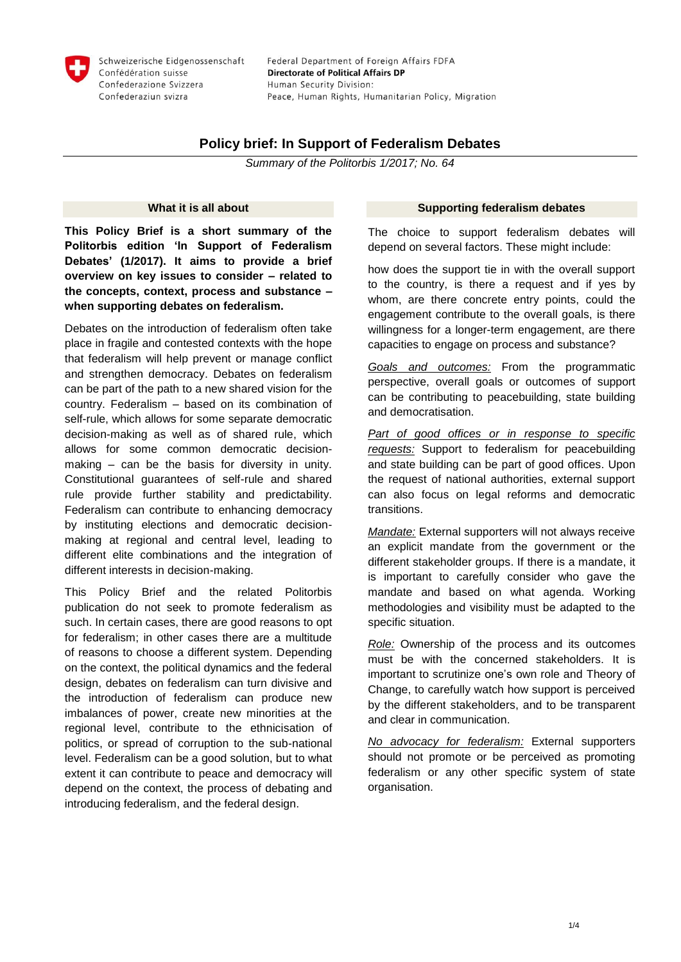

# **Policy brief: In Support of Federalism Debates**

*Summary of the Politorbis 1/2017; No. 64*

#### **What it is all about**

**This Policy Brief is a short summary of the Politorbis edition 'In Support of Federalism Debates' (1/2017). It aims to provide a brief overview on key issues to consider – related to the concepts, context, process and substance – when supporting debates on federalism.** 

Debates on the introduction of federalism often take place in fragile and contested contexts with the hope that federalism will help prevent or manage conflict and strengthen democracy. Debates on federalism can be part of the path to a new shared vision for the country. Federalism – based on its combination of self-rule, which allows for some separate democratic decision-making as well as of shared rule, which allows for some common democratic decisionmaking – can be the basis for diversity in unity. Constitutional guarantees of self-rule and shared rule provide further stability and predictability. Federalism can contribute to enhancing democracy by instituting elections and democratic decisionmaking at regional and central level, leading to different elite combinations and the integration of different interests in decision-making.

This Policy Brief and the related Politorbis publication do not seek to promote federalism as such. In certain cases, there are good reasons to opt for federalism; in other cases there are a multitude of reasons to choose a different system. Depending on the context, the political dynamics and the federal design, debates on federalism can turn divisive and the introduction of federalism can produce new imbalances of power, create new minorities at the regional level, contribute to the ethnicisation of politics, or spread of corruption to the sub-national level. Federalism can be a good solution, but to what extent it can contribute to peace and democracy will depend on the context, the process of debating and introducing federalism, and the federal design.

#### **Supporting federalism debates**

The choice to support federalism debates will depend on several factors. These might include:

how does the support tie in with the overall support to the country, is there a request and if yes by whom, are there concrete entry points, could the engagement contribute to the overall goals, is there willingness for a longer-term engagement, are there capacities to engage on process and substance?

*Goals and outcomes:* From the programmatic perspective, overall goals or outcomes of support can be contributing to peacebuilding, state building and democratisation.

*Part of good offices or in response to specific requests:* Support to federalism for peacebuilding and state building can be part of good offices. Upon the request of national authorities, external support can also focus on legal reforms and democratic transitions.

*Mandate:* External supporters will not always receive an explicit mandate from the government or the different stakeholder groups. If there is a mandate, it is important to carefully consider who gave the mandate and based on what agenda. Working methodologies and visibility must be adapted to the specific situation.

*Role:* Ownership of the process and its outcomes must be with the concerned stakeholders. It is important to scrutinize one's own role and Theory of Change, to carefully watch how support is perceived by the different stakeholders, and to be transparent and clear in communication.

*No advocacy for federalism:* External supporters should not promote or be perceived as promoting federalism or any other specific system of state organisation.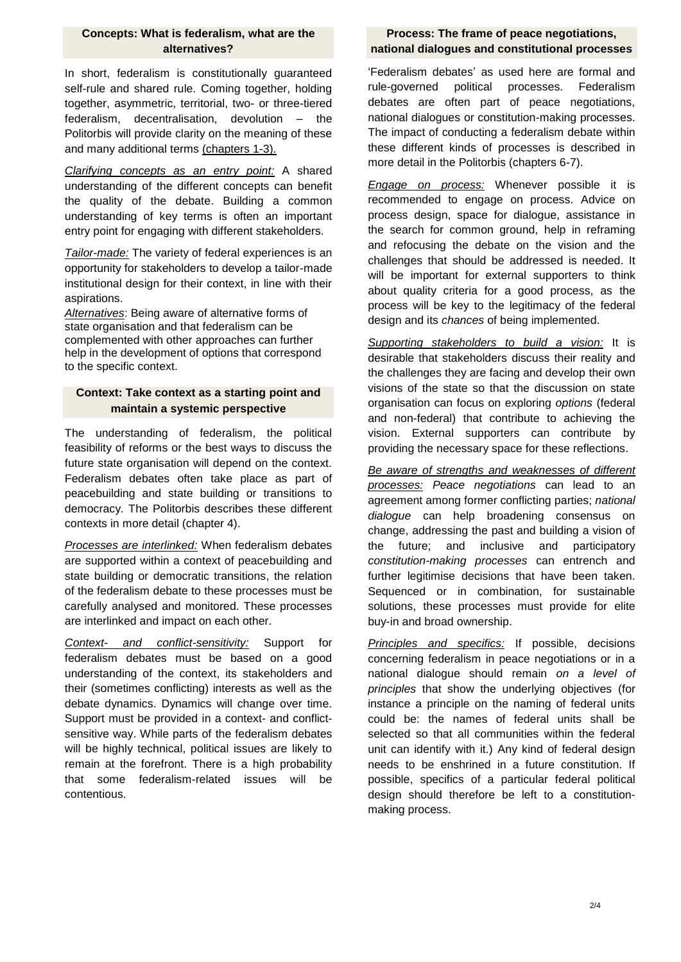#### **Concepts: What is federalism, what are the alternatives?**

In short, federalism is constitutionally guaranteed self-rule and shared rule. Coming together, holding together, asymmetric, territorial, two- or three-tiered federalism, decentralisation, devolution – the Politorbis will provide clarity on the meaning of these and many additional terms (chapters 1-3).

*Clarifying concepts as an entry point:* A shared understanding of the different concepts can benefit the quality of the debate. Building a common understanding of key terms is often an important entry point for engaging with different stakeholders.

*Tailor-made:* The variety of federal experiences is an opportunity for stakeholders to develop a tailor-made institutional design for their context, in line with their aspirations.

*Alternatives*: Being aware of alternative forms of state organisation and that federalism can be complemented with other approaches can further help in the development of options that correspond to the specific context.

## **Context: Take context as a starting point and maintain a systemic perspective**

The understanding of federalism, the political feasibility of reforms or the best ways to discuss the future state organisation will depend on the context. Federalism debates often take place as part of peacebuilding and state building or transitions to democracy. The Politorbis describes these different contexts in more detail (chapter 4).

*Processes are interlinked:* When federalism debates are supported within a context of peacebuilding and state building or democratic transitions, the relation of the federalism debate to these processes must be carefully analysed and monitored. These processes are interlinked and impact on each other.

*Context- and conflict-sensitivity:* Support for federalism debates must be based on a good understanding of the context, its stakeholders and their (sometimes conflicting) interests as well as the debate dynamics. Dynamics will change over time. Support must be provided in a context- and conflictsensitive way. While parts of the federalism debates will be highly technical, political issues are likely to remain at the forefront. There is a high probability that some federalism-related issues will be contentious.

## **Process: The frame of peace negotiations, national dialogues and constitutional processes**

'Federalism debates' as used here are formal and rule-governed political processes. Federalism debates are often part of peace negotiations, national dialogues or constitution-making processes. The impact of conducting a federalism debate within these different kinds of processes is described in more detail in the Politorbis (chapters 6-7).

*Engage on process:* Whenever possible it is recommended to engage on process. Advice on process design, space for dialogue, assistance in the search for common ground, help in reframing and refocusing the debate on the vision and the challenges that should be addressed is needed. It will be important for external supporters to think about quality criteria for a good process, as the process will be key to the legitimacy of the federal design and its *chances* of being implemented.

*Supporting stakeholders to build a vision:* It is desirable that stakeholders discuss their reality and the challenges they are facing and develop their own visions of the state so that the discussion on state organisation can focus on exploring *options* (federal and non-federal) that contribute to achieving the vision. External supporters can contribute by providing the necessary space for these reflections.

*Be aware of strengths and weaknesses of different processes: Peace negotiations* can lead to an agreement among former conflicting parties; *national dialogue* can help broadening consensus on change, addressing the past and building a vision of the future; and inclusive and participatory *constitution-making processes* can entrench and further legitimise decisions that have been taken. Sequenced or in combination, for sustainable solutions, these processes must provide for elite buy-in and broad ownership.

*Principles and specifics:* If possible, decisions concerning federalism in peace negotiations or in a national dialogue should remain *on a level of principles* that show the underlying objectives (for instance a principle on the naming of federal units could be: the names of federal units shall be selected so that all communities within the federal unit can identify with it.) Any kind of federal design needs to be enshrined in a future constitution. If possible, specifics of a particular federal political design should therefore be left to a constitutionmaking process.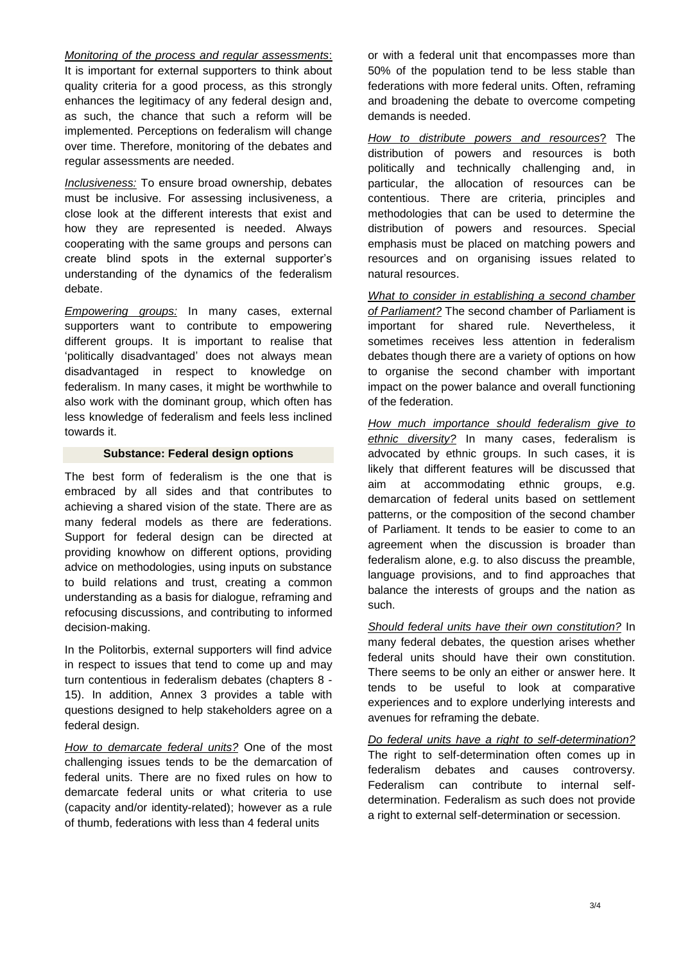*Monitoring of the process and regular assessments*:

It is important for external supporters to think about quality criteria for a good process, as this strongly enhances the legitimacy of any federal design and, as such, the chance that such a reform will be implemented. Perceptions on federalism will change over time. Therefore, monitoring of the debates and regular assessments are needed.

*Inclusiveness:* To ensure broad ownership, debates must be inclusive. For assessing inclusiveness, a close look at the different interests that exist and how they are represented is needed. Always cooperating with the same groups and persons can create blind spots in the external supporter's understanding of the dynamics of the federalism debate.

*Empowering groups:* In many cases, external supporters want to contribute to empowering different groups. It is important to realise that 'politically disadvantaged' does not always mean disadvantaged in respect to knowledge on federalism. In many cases, it might be worthwhile to also work with the dominant group, which often has less knowledge of federalism and feels less inclined towards it.

#### **Substance: Federal design options**

The best form of federalism is the one that is embraced by all sides and that contributes to achieving a shared vision of the state. There are as many federal models as there are federations. Support for federal design can be directed at providing knowhow on different options, providing advice on methodologies, using inputs on substance to build relations and trust, creating a common understanding as a basis for dialogue, reframing and refocusing discussions, and contributing to informed decision-making.

In the Politorbis, external supporters will find advice in respect to issues that tend to come up and may turn contentious in federalism debates (chapters 8 - 15). In addition, Annex 3 provides a table with questions designed to help stakeholders agree on a federal design.

*How to demarcate federal units?* One of the most challenging issues tends to be the demarcation of federal units. There are no fixed rules on how to demarcate federal units or what criteria to use (capacity and/or identity-related); however as a rule of thumb, federations with less than 4 federal units

or with a federal unit that encompasses more than 50% of the population tend to be less stable than federations with more federal units. Often, reframing and broadening the debate to overcome competing demands is needed.

*How to distribute powers and resources*? The distribution of powers and resources is both politically and technically challenging and, in particular, the allocation of resources can be contentious. There are criteria, principles and methodologies that can be used to determine the distribution of powers and resources. Special emphasis must be placed on matching powers and resources and on organising issues related to natural resources.

*What to consider in establishing a second chamber of Parliament?* The second chamber of Parliament is important for shared rule. Nevertheless, it sometimes receives less attention in federalism debates though there are a variety of options on how to organise the second chamber with important impact on the power balance and overall functioning of the federation.

*How much importance should federalism give to ethnic diversity?* In many cases, federalism is advocated by ethnic groups. In such cases, it is likely that different features will be discussed that aim at accommodating ethnic groups, e.g. demarcation of federal units based on settlement patterns, or the composition of the second chamber of Parliament. It tends to be easier to come to an agreement when the discussion is broader than federalism alone, e.g. to also discuss the preamble, language provisions, and to find approaches that balance the interests of groups and the nation as such.

*Should federal units have their own constitution?* In many federal debates, the question arises whether federal units should have their own constitution. There seems to be only an either or answer here. It tends to be useful to look at comparative experiences and to explore underlying interests and avenues for reframing the debate.

*Do federal units have a right to self-determination?*  The right to self-determination often comes up in federalism debates and causes controversy. Federalism can contribute to internal selfdetermination. Federalism as such does not provide a right to external self-determination or secession.